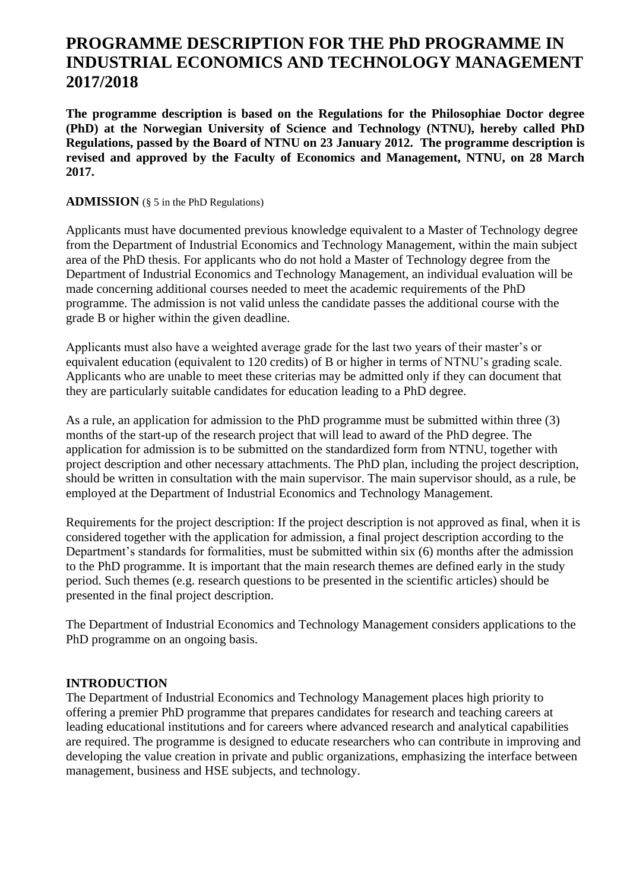# **PROGRAMME DESCRIPTION FOR THE PhD PROGRAMME IN INDUSTRIAL ECONOMICS AND TECHNOLOGY MANAGEMENT 2017/2018**

**The programme description is based on the Regulations for the Philosophiae Doctor degree (PhD) at the Norwegian University of Science and Technology (NTNU), hereby called PhD Regulations, passed by the Board of NTNU on 23 January 2012. The programme description is revised and approved by the Faculty of Economics and Management, NTNU, on 28 March 2017.**

#### **ADMISSION** (§ 5 in the PhD Regulations)

Applicants must have documented previous knowledge equivalent to a Master of Technology degree from the Department of Industrial Economics and Technology Management, within the main subject area of the PhD thesis. For applicants who do not hold a Master of Technology degree from the Department of Industrial Economics and Technology Management, an individual evaluation will be made concerning additional courses needed to meet the academic requirements of the PhD programme. The admission is not valid unless the candidate passes the additional course with the grade B or higher within the given deadline.

Applicants must also have a weighted average grade for the last two years of their master's or equivalent education (equivalent to 120 credits) of B or higher in terms of NTNU's grading scale. Applicants who are unable to meet these criterias may be admitted only if they can document that they are particularly suitable candidates for education leading to a PhD degree.

As a rule, an application for admission to the PhD programme must be submitted within three (3) months of the start-up of the research project that will lead to award of the PhD degree. The application for admission is to be submitted on the standardized form from NTNU, together with project description and other necessary attachments. The PhD plan, including the project description, should be written in consultation with the main supervisor. The main supervisor should, as a rule, be employed at the Department of Industrial Economics and Technology Management.

Requirements for the project description: If the project description is not approved as final, when it is considered together with the application for admission, a final project description according to the Department's standards for formalities, must be submitted within six (6) months after the admission to the PhD programme. It is important that the main research themes are defined early in the study period. Such themes (e.g. research questions to be presented in the scientific articles) should be presented in the final project description.

The Department of Industrial Economics and Technology Management considers applications to the PhD programme on an ongoing basis.

#### **INTRODUCTION**

The Department of Industrial Economics and Technology Management places high priority to offering a premier PhD programme that prepares candidates for research and teaching careers at leading educational institutions and for careers where advanced research and analytical capabilities are required. The programme is designed to educate researchers who can contribute in improving and developing the value creation in private and public organizations, emphasizing the interface between management, business and HSE subjects, and technology.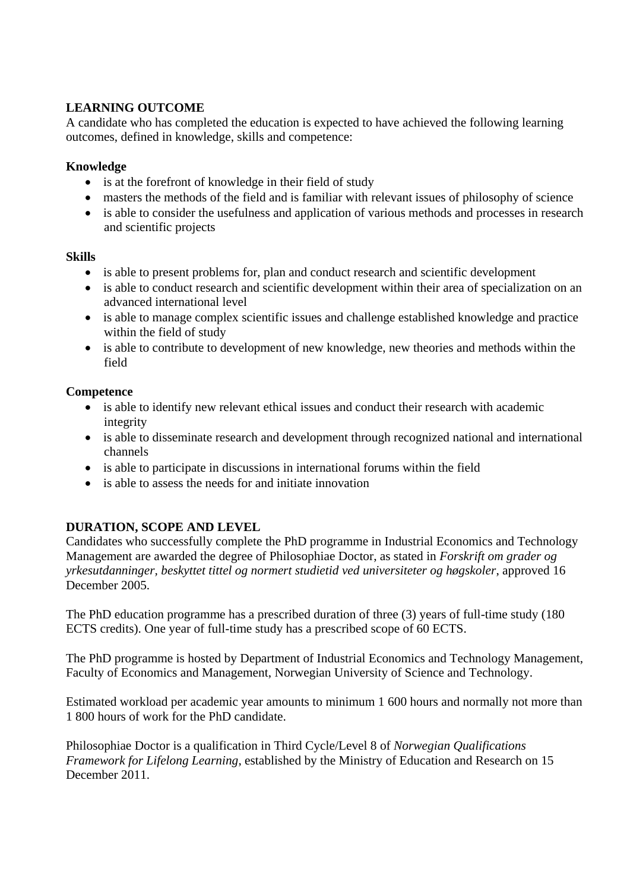# **LEARNING OUTCOME**

A candidate who has completed the education is expected to have achieved the following learning outcomes, defined in knowledge, skills and competence:

# **Knowledge**

- is at the forefront of knowledge in their field of study
- masters the methods of the field and is familiar with relevant issues of philosophy of science
- is able to consider the usefulness and application of various methods and processes in research and scientific projects

## **Skills**

- is able to present problems for, plan and conduct research and scientific development
- is able to conduct research and scientific development within their area of specialization on an advanced international level
- is able to manage complex scientific issues and challenge established knowledge and practice within the field of study
- is able to contribute to development of new knowledge, new theories and methods within the field

# **Competence**

- is able to identify new relevant ethical issues and conduct their research with academic integrity
- is able to disseminate research and development through recognized national and international channels
- is able to participate in discussions in international forums within the field
- is able to assess the needs for and initiate innovation

# **DURATION, SCOPE AND LEVEL**

Candidates who successfully complete the PhD programme in Industrial Economics and Technology Management are awarded the degree of Philosophiae Doctor, as stated in *Forskrift om grader og yrkesutdanninger, beskyttet tittel og normert studietid ved universiteter og høgskoler*, approved 16 December 2005.

The PhD education programme has a prescribed duration of three (3) years of full-time study (180 ECTS credits). One year of full-time study has a prescribed scope of 60 ECTS.

The PhD programme is hosted by Department of Industrial Economics and Technology Management, Faculty of Economics and Management, Norwegian University of Science and Technology.

Estimated workload per academic year amounts to minimum 1 600 hours and normally not more than 1 800 hours of work for the PhD candidate.

Philosophiae Doctor is a qualification in Third Cycle/Level 8 of *Norwegian Qualifications Framework for Lifelong Learning*, established by the Ministry of Education and Research on 15 December 2011.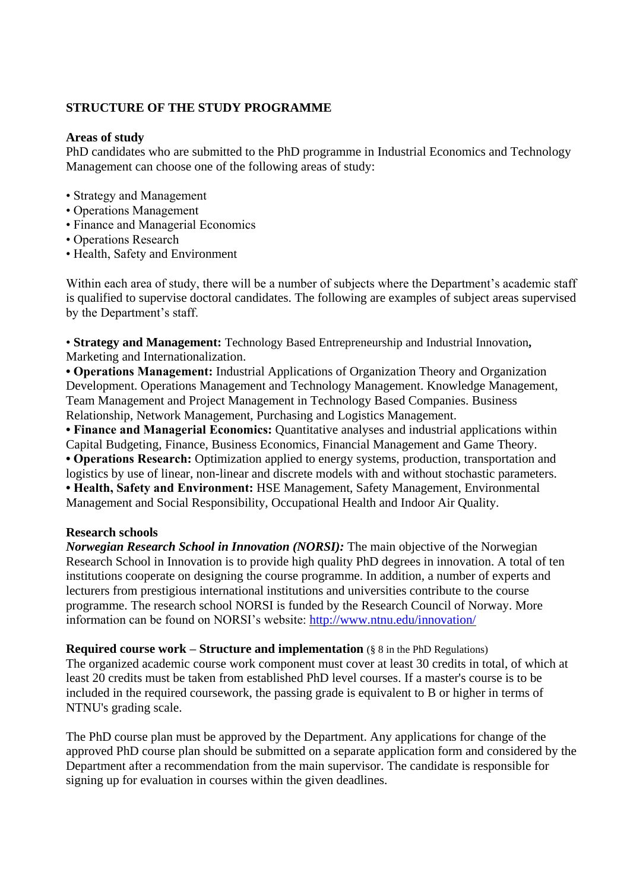# **STRUCTURE OF THE STUDY PROGRAMME**

#### **Areas of study**

PhD candidates who are submitted to the PhD programme in Industrial Economics and Technology Management can choose one of the following areas of study:

- Strategy and Management
- Operations Management
- Finance and Managerial Economics
- Operations Research
- Health, Safety and Environment

Within each area of study, there will be a number of subjects where the Department's academic staff is qualified to supervise doctoral candidates. The following are examples of subject areas supervised by the Department's staff.

• **Strategy and Management:** Technology Based Entrepreneurship and Industrial Innovation**,** Marketing and Internationalization.

**• Operations Management:** Industrial Applications of Organization Theory and Organization Development. Operations Management and Technology Management. Knowledge Management, Team Management and Project Management in Technology Based Companies. Business Relationship, Network Management, Purchasing and Logistics Management.

**• Finance and Managerial Economics:** Quantitative analyses and industrial applications within Capital Budgeting, Finance, Business Economics, Financial Management and Game Theory. **• Operations Research:** Optimization applied to energy systems, production, transportation and logistics by use of linear, non-linear and discrete models with and without stochastic parameters. **• Health, Safety and Environment:** HSE Management, Safety Management, Environmental

Management and Social Responsibility, Occupational Health and Indoor Air Quality.

#### **Research schools**

*Norwegian Research School in Innovation (NORSI):* The main objective of the Norwegian Research School in Innovation is to provide high quality PhD degrees in innovation. A total of ten institutions cooperate on designing the course programme. In addition, a number of experts and lecturers from prestigious international institutions and universities contribute to the course programme. The research school NORSI is funded by the Research Council of Norway. More information can be found on NORSI's website:<http://www.ntnu.edu/innovation/>

**Required course work – Structure and implementation**  $(\S 8 \text{ in the PhD Reynolds})$ The organized academic course work component must cover at least 30 credits in total, of which at least 20 credits must be taken from established PhD level courses. If a master's course is to be included in the required coursework, the passing grade is equivalent to B or higher in terms of NTNU's grading scale.

The PhD course plan must be approved by the Department. Any applications for change of the approved PhD course plan should be submitted on a separate application form and considered by the Department after a recommendation from the main supervisor. The candidate is responsible for signing up for evaluation in courses within the given deadlines.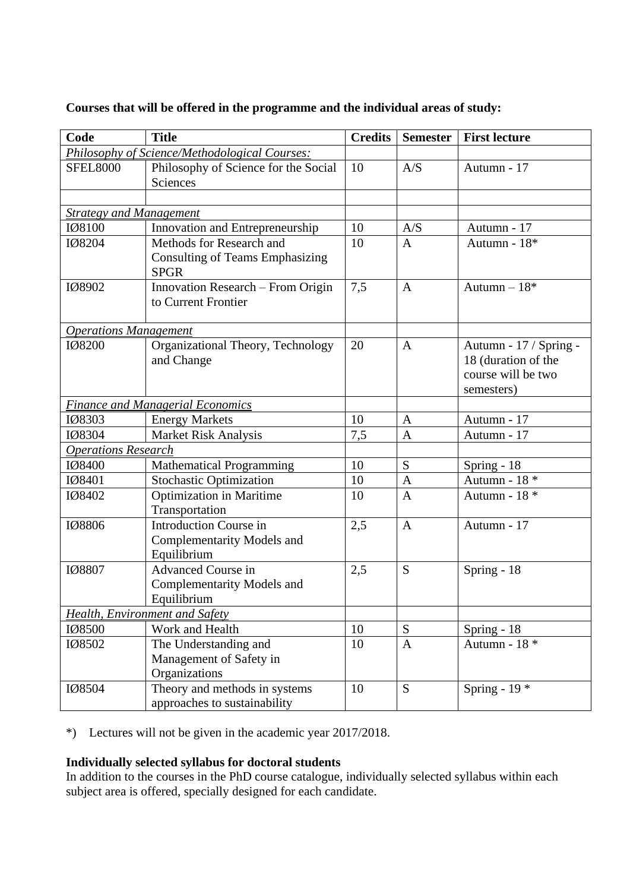|  | Courses that will be offered in the programme and the individual areas of study: |
|--|----------------------------------------------------------------------------------|

| Code                                                                    | <b>Title</b>                           | <b>Credits</b> | Semester       | <b>First lecture</b>           |  |
|-------------------------------------------------------------------------|----------------------------------------|----------------|----------------|--------------------------------|--|
| Philosophy of Science/Methodological Courses:                           |                                        |                |                |                                |  |
| <b>SFEL8000</b>                                                         | Philosophy of Science for the Social   | 10             | A/S            | Autumn - 17                    |  |
|                                                                         | Sciences                               |                |                |                                |  |
|                                                                         |                                        |                |                |                                |  |
| <b>Strategy and Management</b>                                          |                                        |                |                |                                |  |
| IØ8100                                                                  | Innovation and Entrepreneurship        | 10             | A/S            | Autumn - 17                    |  |
| IØ8204                                                                  | Methods for Research and               | 10             | $\overline{A}$ | Autumn - 18*                   |  |
|                                                                         | <b>Consulting of Teams Emphasizing</b> |                |                |                                |  |
|                                                                         | <b>SPGR</b>                            |                |                |                                |  |
| IØ8902                                                                  | Innovation Research - From Origin      | 7,5            | $\mathbf{A}$   | Autumn $-18*$                  |  |
|                                                                         | to Current Frontier                    |                |                |                                |  |
|                                                                         |                                        |                |                |                                |  |
| <b>Operations Management</b>                                            |                                        |                |                |                                |  |
| IØ8200                                                                  | Organizational Theory, Technology      | 20             | $\overline{A}$ | Autumn - 17 / Spring -         |  |
|                                                                         | and Change                             |                |                | 18 (duration of the            |  |
|                                                                         |                                        |                |                | course will be two             |  |
|                                                                         |                                        |                |                | semesters)                     |  |
| <b>Finance and Managerial Economics</b>                                 |                                        | 10             | $\mathbf{A}$   | Autumn - 17                    |  |
| IØ8303<br>108304                                                        | <b>Energy Markets</b>                  |                | $\mathbf{A}$   | Autumn - 17                    |  |
| Market Risk Analysis                                                    |                                        | 7,5            |                |                                |  |
| <b>Operations Research</b><br>IØ8400<br><b>Mathematical Programming</b> |                                        | 10             | S              | Spring - 18                    |  |
| IØ8401                                                                  | <b>Stochastic Optimization</b>         | 10             | A              | Autumn - 18 $\hspace{0.1mm}^*$ |  |
| IØ8402                                                                  | <b>Optimization in Maritime</b>        | 10             | $\overline{A}$ | Autumn - 18 *                  |  |
|                                                                         | Transportation                         |                |                |                                |  |
| IØ8806                                                                  | <b>Introduction Course in</b>          | 2,5            | $\mathbf{A}$   | Autumn - 17                    |  |
|                                                                         | <b>Complementarity Models and</b>      |                |                |                                |  |
|                                                                         | Equilibrium                            |                |                |                                |  |
| IØ8807                                                                  | <b>Advanced Course in</b>              | 2,5            | S              | Spring - 18                    |  |
|                                                                         | Complementarity Models and             |                |                |                                |  |
|                                                                         | Equilibrium                            |                |                |                                |  |
| Health, Environment and Safety                                          |                                        |                |                |                                |  |
| IØ8500                                                                  | Work and Health                        | 10             | S              | Spring - 18                    |  |
| IØ8502                                                                  | The Understanding and                  | 10             | $\mathbf{A}$   | Autumn - 18 *                  |  |
|                                                                         | Management of Safety in                |                |                |                                |  |
|                                                                         | Organizations                          |                |                |                                |  |
| IØ8504                                                                  | Theory and methods in systems          | 10             | S              | Spring - $19*$                 |  |
|                                                                         | approaches to sustainability           |                |                |                                |  |

\*) Lectures will not be given in the academic year 2017/2018.

## **Individually selected syllabus for doctoral students**

In addition to the courses in the PhD course catalogue, individually selected syllabus within each subject area is offered, specially designed for each candidate.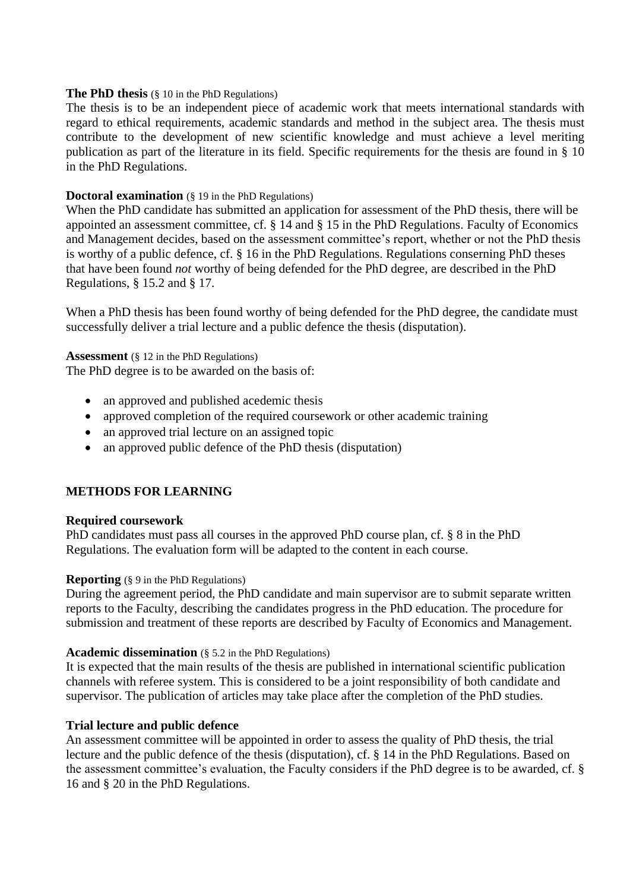#### **The PhD thesis** (§ 10 in the PhD Regulations)

The thesis is to be an independent piece of academic work that meets international standards with regard to ethical requirements, academic standards and method in the subject area. The thesis must contribute to the development of new scientific knowledge and must achieve a level meriting publication as part of the literature in its field. Specific requirements for the thesis are found in § 10 in the PhD Regulations.

#### **Doctoral examination** (§ 19 in the PhD Regulations)

When the PhD candidate has submitted an application for assessment of the PhD thesis, there will be appointed an assessment committee, cf. § 14 and § 15 in the PhD Regulations. Faculty of Economics and Management decides, based on the assessment committee's report, whether or not the PhD thesis is worthy of a public defence, cf. § 16 in the PhD Regulations. Regulations conserning PhD theses that have been found *not* worthy of being defended for the PhD degree, are described in the PhD Regulations, § 15.2 and § 17.

When a PhD thesis has been found worthy of being defended for the PhD degree, the candidate must successfully deliver a trial lecture and a public defence the thesis (disputation).

**Assessment** (§ 12 in the PhD Regulations)

The PhD degree is to be awarded on the basis of:

- an approved and published acedemic thesis
- approved completion of the required coursework or other academic training
- an approved trial lecture on an assigned topic
- an approved public defence of the PhD thesis (disputation)

#### **METHODS FOR LEARNING**

#### **Required coursework**

PhD candidates must pass all courses in the approved PhD course plan, cf. § 8 in the PhD Regulations. The evaluation form will be adapted to the content in each course.

#### **Reporting** (§ 9 in the PhD Regulations)

During the agreement period, the PhD candidate and main supervisor are to submit separate written reports to the Faculty, describing the candidates progress in the PhD education. The procedure for submission and treatment of these reports are described by Faculty of Economics and Management.

#### **Academic dissemination** (§ 5.2 in the PhD Regulations)

It is expected that the main results of the thesis are published in international scientific publication channels with referee system. This is considered to be a joint responsibility of both candidate and supervisor. The publication of articles may take place after the completion of the PhD studies.

#### **Trial lecture and public defence**

An assessment committee will be appointed in order to assess the quality of PhD thesis, the trial lecture and the public defence of the thesis (disputation), cf. § 14 in the PhD Regulations. Based on the assessment committee's evaluation, the Faculty considers if the PhD degree is to be awarded, cf. § 16 and § 20 in the PhD Regulations.